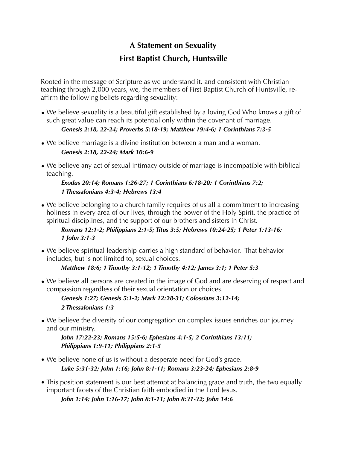# **A Statement on Sexuality First Baptist Church, Huntsville**

Rooted in the message of Scripture as we understand it, and consistent with Christian teaching through 2,000 years, we, the members of First Baptist Church of Huntsville, reaffirm the following beliefs regarding sexuality:

• We believe sexuality is a beautiful gift established by a loving God Who knows a gift of such great value can reach its potential only within the covenant of marriage.

*Genesis 2:18, 22-24; Proverbs 5:18-19; Matthew 19:4-6; 1 Corinthians 7:3-5*

- We believe marriage is a divine institution between a man and a woman. *Genesis 2:18, 22-24; Mark 10:6-9*
- We believe any act of sexual intimacy outside of marriage is incompatible with biblical teaching.

## *Exodus 20:14; Romans 1:26-27; 1 Corinthians 6:18-20; 1 Corinthians 7:2; 1 Thessalonians 4:3-4; Hebrews 13:4*

• We believe belonging to a church family requires of us all a commitment to increasing holiness in every area of our lives, through the power of the Holy Spirit, the practice of spiritual disciplines, and the support of our brothers and sisters in Christ.

*Romans 12:1-2; Philippians 2:1-5; Titus 3:5; Hebrews 10:24-25; 1 Peter 1:13-16; 1 John 3:1-3* 

• We believe spiritual leadership carries a high standard of behavior. That behavior includes, but is not limited to, sexual choices.

*Matthew 18:6; 1 Timothy 3:1-12; 1 Timothy 4:12; James 3:1; 1 Peter 5:3* 

• We believe all persons are created in the image of God and are deserving of respect and compassion regardless of their sexual orientation or choices.

*Genesis 1:27; Genesis 5:1-2; Mark 12:28-31; Colossians 3:12-14; 2 Thessalonians 1:3* 

• We believe the diversity of our congregation on complex issues enriches our journey and our ministry.

*John 17:22-23; Romans 15:5-6; Ephesians 4:1-5; 2 Corinthians 13:11; Philippians 1:9-11; Philippians 2:1-5* 

- We believe none of us is without a desperate need for God's grace. *Luke 5:31-32; John 1:16; John 8:1-11; Romans 3:23-24; Ephesians 2:8-9*
- This position statement is our best attempt at balancing grace and truth, the two equally important facets of the Christian faith embodied in the Lord Jesus.

*John 1:14; John 1:16-17; John 8:1-11; John 8:31-32; John 14:6*